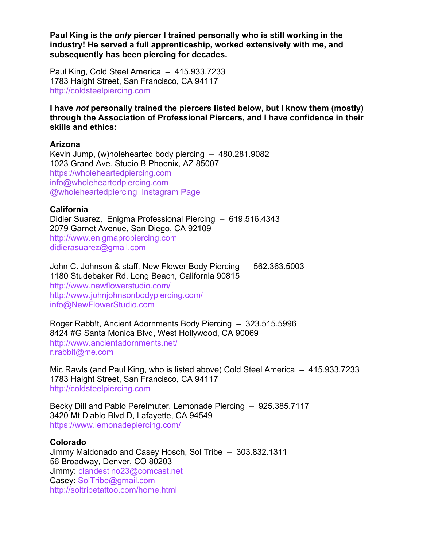**Paul King is the** *only* **piercer I trained personally who is still working in the industry! He served a full apprenticeship, worked extensively with me, and subsequently has been piercing for decades.**

Paul King, Cold Steel America – 415.933.7233 1783 Haight Street, San Francisco, CA 94117 http://coldsteelpiercing.com

**I have** *not* **personally trained the piercers listed below, but I know them (mostly) through the Association of Professional Piercers, and I have confidence in their skills and ethics:**

#### **Arizona**

Kevin Jump, (w)holehearted body piercing – 480.281.9082 1023 Grand Ave. Studio B Phoenix, AZ 85007 https://wholeheartedpiercing.com info@wholeheartedpiercing.com @wholeheartedpiercing Instagram Page

# **California**

Didier Suarez, Enigma Professional Piercing – 619.516.4343 2079 Garnet Avenue, San Diego, CA 92109 http://www.enigmapropiercing.com didierasuarez@gmail.com

John C. Johnson & staff, New Flower Body Piercing – 562.363.5003 1180 Studebaker Rd. Long Beach, California 90815 http://www.newflowerstudio.com/ http://www.johnjohnsonbodypiercing.com/ info@NewFlowerStudio.com

Roger Rabb!t, Ancient Adornments Body Piercing – 323.515.5996 8424 #G Santa Monica Blvd, West Hollywood, CA 90069 http://www.ancientadornments.net/ r.rabbit@me.com

Mic Rawls (and Paul King, who is listed above) Cold Steel America – 415.933.7233 1783 Haight Street, San Francisco, CA 94117 http://coldsteelpiercing.com

Becky Dill and Pablo Perelmuter, Lemonade Piercing – 925.385.7117 3420 Mt Diablo Blvd D, Lafayette, CA 94549 https://www.lemonadepiercing.com/

#### **Colorado**

Jimmy Maldonado and Casey Hosch, Sol Tribe – 303.832.1311 56 Broadway, Denver, CO 80203 Jimmy: clandestino23@comcast.net Casey: SolTribe@gmail.com http://soltribetattoo.com/home.html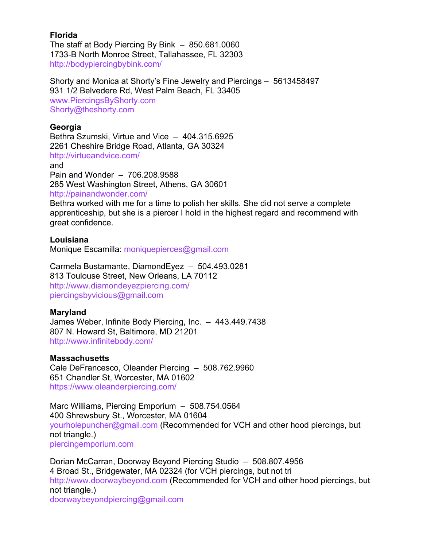# **Florida**

The staff at Body Piercing By Bink – 850.681.0060 1733-B North Monroe Street, Tallahassee, FL 32303 http://bodypiercingbybink.com/

Shorty and Monica at Shorty's Fine Jewelry and Piercings – 5613458497 931 1/2 Belvedere Rd, West Palm Beach, FL 33405 www.PiercingsByShorty.com Shorty@theshorty.com

# **Georgia**

Bethra Szumski, Virtue and Vice – 404.315.6925 2261 Cheshire Bridge Road, Atlanta, GA 30324 http://virtueandvice.com/ and Pain and Wonder – 706.208.9588 285 West Washington Street, Athens, GA 30601 http://painandwonder.com/ Bethra worked with me for a time to polish her skills. She did not serve a complete

apprenticeship, but she is a piercer I hold in the highest regard and recommend with great confidence.

### **Louisiana**

Monique Escamilla: moniquepierces@gmail.com

Carmela Bustamante, DiamondEyez – 504.493.0281 813 Toulouse Street, New Orleans, LA 70112 http://www.diamondeyezpiercing.com/ piercingsbyvicious@gmail.com

# **Maryland**

James Weber, Infinite Body Piercing, Inc. – 443.449.7438 807 N. Howard St, Baltimore, MD 21201 http://www.infinitebody.com/

# **Massachusetts**

Cale DeFrancesco, Oleander Piercing – 508.762.9960 651 Chandler St, Worcester, MA 01602 https://www.oleanderpiercing.com/

Marc Williams, Piercing Emporium – 508.754.0564 400 Shrewsbury St., Worcester, MA 01604 yourholepuncher@gmail.com (Recommended for VCH and other hood piercings, but not triangle.) piercingemporium.com

Dorian McCarran, Doorway Beyond Piercing Studio – 508.807.4956 4 Broad St., Bridgewater, MA 02324 (for VCH piercings, but not tri http://www.doorwaybeyond.com (Recommended for VCH and other hood piercings, but not triangle.) doorwaybeyondpiercing@gmail.com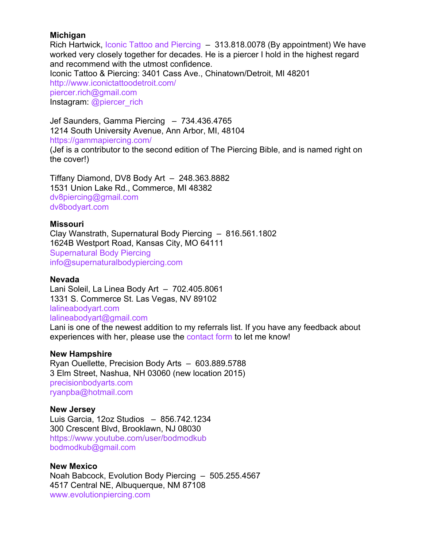## **Michigan**

Rich Hartwick, Iconic Tattoo and Piercing – 313.818.0078 (By appointment) We have worked very closely together for decades. He is a piercer I hold in the highest regard and recommend with the utmost confidence. Iconic Tattoo & Piercing: 3401 Cass Ave., Chinatown/Detroit, MI 48201 http://www.iconictattoodetroit.com/ piercer.rich@gmail.com Instagram: @piercer\_rich

Jef Saunders, Gamma Piercing – 734.436.4765 1214 South University Avenue, Ann Arbor, MI, 48104 https://gammapiercing.com/ (Jef is a contributor to the second edition of The Piercing Bible, and is named right on the cover!)

Tiffany Diamond, DV8 Body Art – 248.363.8882 1531 Union Lake Rd., Commerce, MI 48382 dv8piercing@gmail.com dv8bodyart.com

### **Missouri**

Clay Wanstrath, Supernatural Body Piercing – 816.561.1802 1624B Westport Road, Kansas City, MO 64111 Supernatural Body Piercing info@supernaturalbodypiercing.com

#### **Nevada**

Lani Soleil, La Linea Body Art – 702.405.8061 1331 S. Commerce St. Las Vegas, NV 89102 lalineabodyart.com lalineabodyart@gmail.com

Lani is one of the newest addition to my referrals list. If you have any feedback about experiences with her, please use the contact form to let me know!

#### **New Hampshire**

Ryan Ouellette, Precision Body Arts – 603.889.5788 3 Elm Street, Nashua, NH 03060 (new location 2015) precisionbodyarts.com ryanpba@hotmail.com

#### **New Jersey**

Luis Garcia, 12oz Studios – 856.742.1234 300 Crescent Blvd, Brooklawn, NJ 08030 https://www.youtube.com/user/bodmodkub bodmodkub@gmail.com

#### **New Mexico**

Noah Babcock, Evolution Body Piercing – 505.255.4567 4517 Central NE, Albuquerque, NM 87108 www.evolutionpiercing.com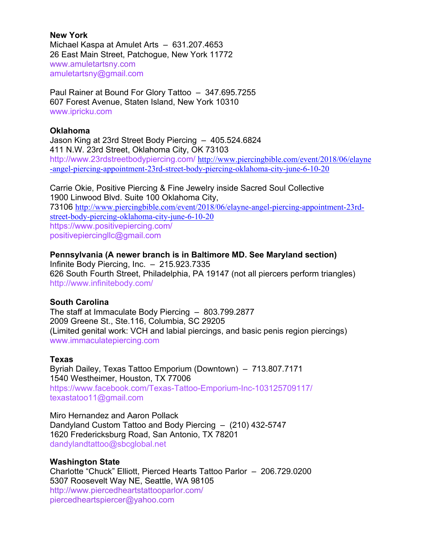**New York** Michael Kaspa at Amulet Arts – 631.207.4653 26 East Main Street, Patchogue, New York 11772 www.amuletartsny.com amuletartsny@gmail.com

Paul Rainer at Bound For Glory Tattoo – 347.695.7255 607 Forest Avenue, Staten Island, New York 10310 www.ipricku.com

### **Oklahoma**

Jason King at 23rd Street Body Piercing – 405.524.6824 411 N.W. 23rd Street, Oklahoma City, OK 73103 http://www.23rdstreetbodypiercing.com/ http://www.piercingbible.com/event/2018/06/elayne -angel-piercing-appointment-23rd-street-body-piercing-oklahoma-city-june-6-10-20

Carrie Okie, Positive Piercing & Fine Jewelry inside Sacred Soul Collective 1900 Linwood Blvd. Suite 100 Oklahoma City, 73106 http://www.piercingbible.com/event/2018/06/elayne-angel-piercing-appointment-23rdstreet-body-piercing-oklahoma-city-june-6-10-20 https://www.positivepiercing.com/ positivepiercingllc@gmail.com

### **Pennsylvania (A newer branch is in Baltimore MD. See Maryland section)**

Infinite Body Piercing, Inc. – 215.923.7335 626 South Fourth Street, Philadelphia, PA 19147 (not all piercers perform triangles) http://www.infinitebody.com/

# **South Carolina**

The staff at Immaculate Body Piercing – 803.799.2877 2009 Greene St., Ste.116, Columbia, SC 29205 (Limited genital work: VCH and labial piercings, and basic penis region piercings) www.immaculatepiercing.com

#### **Texas**

Byriah Dailey, Texas Tattoo Emporium (Downtown) – 713.807.7171 1540 Westheimer, Houston, TX 77006 https://www.facebook.com/Texas-Tattoo-Emporium-Inc-103125709117/ texastatoo11@gmail.com

Miro Hernandez and Aaron Pollack Dandyland Custom Tattoo and Body Piercing – (210) 432-5747 1620 Fredericksburg Road, San Antonio, TX 78201 dandylandtattoo@sbcglobal.net

# **Washington State**

Charlotte "Chuck" Elliott, Pierced Hearts Tattoo Parlor – 206.729.0200 5307 Roosevelt Way NE, Seattle, WA 98105 http://www.piercedheartstattooparlor.com/ piercedheartspiercer@yahoo.com